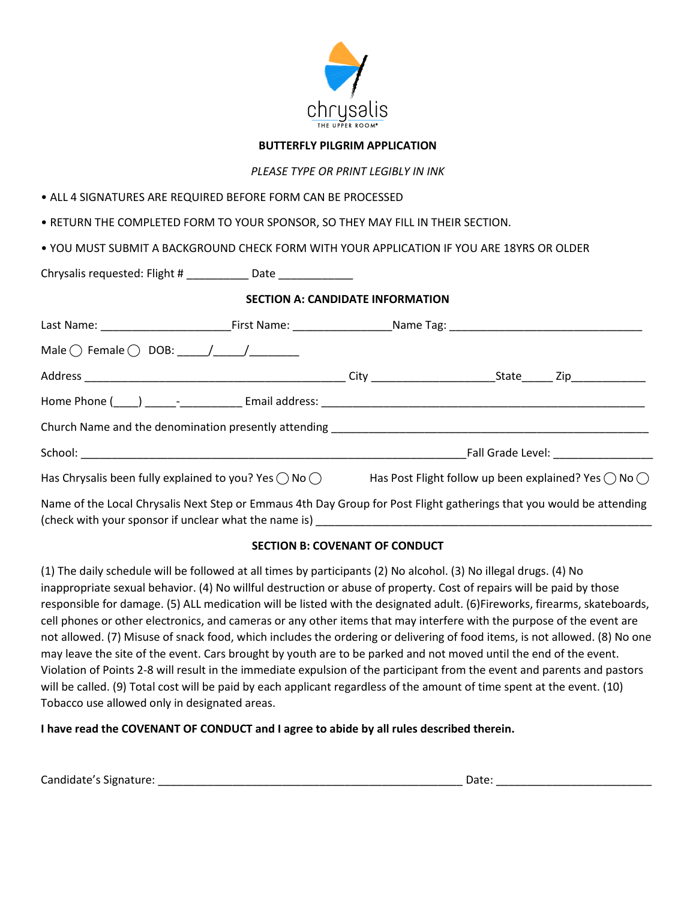

### **BUTTERFLY PILGRIM APPLICATION**

*PLEASE TYPE OR PRINT LEGIBLY IN INK*

• ALL 4 SIGNATURES ARE REQUIRED BEFORE FORM CAN BE PROCESSED

• RETURN THE COMPLETED FORM TO YOUR SPONSOR, SO THEY MAY FILL IN THEIR SECTION.

• YOU MUST SUBMIT A BACKGROUND CHECK FORM WITH YOUR APPLICATION IF YOU ARE 18YRS OR OLDER

| Chrysalis requested: Flight # __________ Date ____________                                                                                     |  |                                         |  |  |
|------------------------------------------------------------------------------------------------------------------------------------------------|--|-----------------------------------------|--|--|
|                                                                                                                                                |  | <b>SECTION A: CANDIDATE INFORMATION</b> |  |  |
|                                                                                                                                                |  |                                         |  |  |
| Male $\bigcirc$ Female $\bigcirc$ DOB: ____/____/__________                                                                                    |  |                                         |  |  |
|                                                                                                                                                |  |                                         |  |  |
|                                                                                                                                                |  |                                         |  |  |
|                                                                                                                                                |  |                                         |  |  |
|                                                                                                                                                |  |                                         |  |  |
| Has Chrysalis been fully explained to you? Yes $\bigcirc$ No $\bigcirc$ Has Post Flight follow up been explained? Yes $\bigcirc$ No $\bigcirc$ |  |                                         |  |  |
| Name of the Local Chrysalis Next Step or Emmaus 4th Day Group for Post Elight gatherings that you would be attending                           |  |                                         |  |  |

 $\,$ of the Local Chrysalis Next Step or Emmaus 4th Day Group for Post Flight gatherings that you would be attending (check with your sponsor if unclear what the name is)

### **SECTION B: COVENANT OF CONDUCT**

(1) The daily schedule will be followed at all times by participants (2) No alcohol. (3) No illegal drugs. (4) No inappropriate sexual behavior. (4) No willful destruction or abuse of property. Cost of repairs will be paid by those responsible for damage. (5) ALL medication will be listed with the designated adult. (6)Fireworks, firearms, skateboards, cell phones or other electronics, and cameras or any other items that may interfere with the purpose of the event are not allowed. (7) Misuse of snack food, which includes the ordering or delivering of food items, is not allowed. (8) No one may leave the site of the event. Cars brought by youth are to be parked and not moved until the end of the event. Violation of Points 2-8 will result in the immediate expulsion of the participant from the event and parents and pastors will be called. (9) Total cost will be paid by each applicant regardless of the amount of time spent at the event. (10) Tobacco use allowed only in designated areas.

**I have read the COVENANT OF CONDUCT and I agree to abide by all rules described therein.** 

| Candidate's Signature:<br>. . | ,,<br>, |  |
|-------------------------------|---------|--|
|                               |         |  |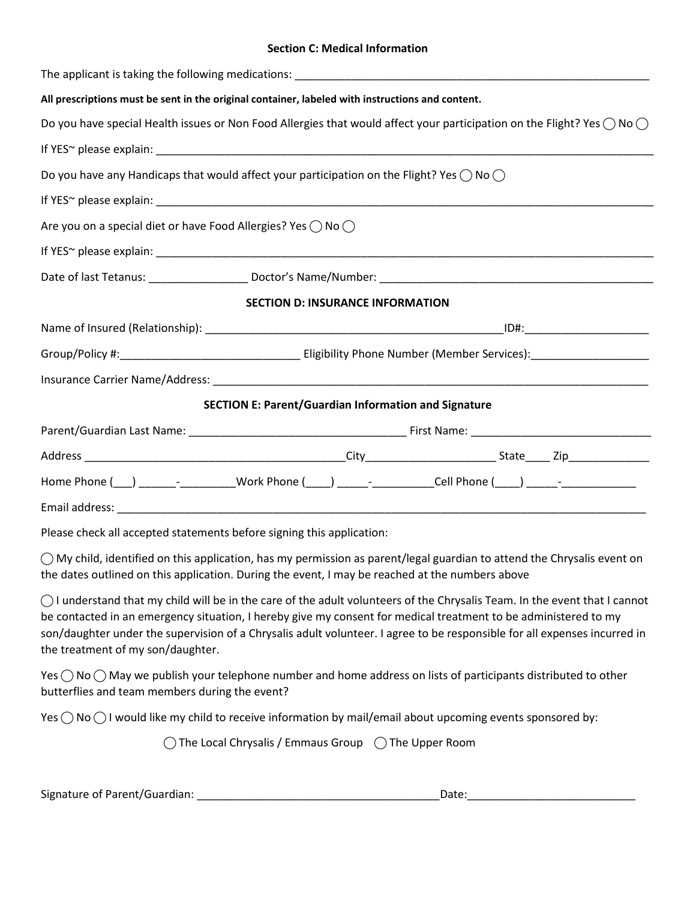#### **Section C: Medical Information**

| All prescriptions must be sent in the original container, labeled with instructions and content.           |                                                                                                                                          |
|------------------------------------------------------------------------------------------------------------|------------------------------------------------------------------------------------------------------------------------------------------|
|                                                                                                            | Do you have special Health issues or Non Food Allergies that would affect your participation on the Flight? Yes $\bigcirc$ No $\bigcirc$ |
|                                                                                                            |                                                                                                                                          |
| Do you have any Handicaps that would affect your participation on the Flight? Yes $\bigcirc$ No $\bigcirc$ |                                                                                                                                          |
|                                                                                                            |                                                                                                                                          |
| Are you on a special diet or have Food Allergies? Yes $\bigcirc$ No $\bigcirc$                             |                                                                                                                                          |
|                                                                                                            |                                                                                                                                          |
|                                                                                                            |                                                                                                                                          |
|                                                                                                            | <b>SECTION D: INSURANCE INFORMATION</b>                                                                                                  |
|                                                                                                            |                                                                                                                                          |
|                                                                                                            |                                                                                                                                          |
|                                                                                                            |                                                                                                                                          |
|                                                                                                            | <b>SECTION E: Parent/Guardian Information and Signature</b>                                                                              |
|                                                                                                            |                                                                                                                                          |
|                                                                                                            |                                                                                                                                          |
|                                                                                                            | Home Phone ( ) _______- __________Work Phone (____) _____- __________Cell Phone (____) _____- ____________                               |
|                                                                                                            |                                                                                                                                          |

Please check all accepted statements before signing this application:

 $\bigcirc$  My child, identified on this application, has my permission as parent/legal guardian to attend the Chrysalis event on the dates outlined on this application. During the event, I may be reached at the numbers above

 $\bigcirc$  I understand that my child will be in the care of the adult volunteers of the Chrysalis Team. In the event that I cannot be contacted in an emergency situation, I hereby give my consent for medical treatment to be administered to my son/daughter under the supervision of a Chrysalis adult volunteer. I agree to be responsible for all expenses incurred in the treatment of my son/daughter.

Yes  $\bigcirc$  No  $\bigcirc$  May we publish your telephone number and home address on lists of participants distributed to other butterflies and team members during the event?

Yes  $\bigcirc$  No  $\bigcirc$  I would like my child to receive information by mail/email about upcoming events sponsored by:

 $\bigcap$  The Local Chrysalis / Emmaus Group  $\bigcap$  The Upper Room

Signature of Parent/Guardian: example of the state of the state of the state of the state of the state of the state of the state of the state of the state of the state of the state of the state of the state of the state of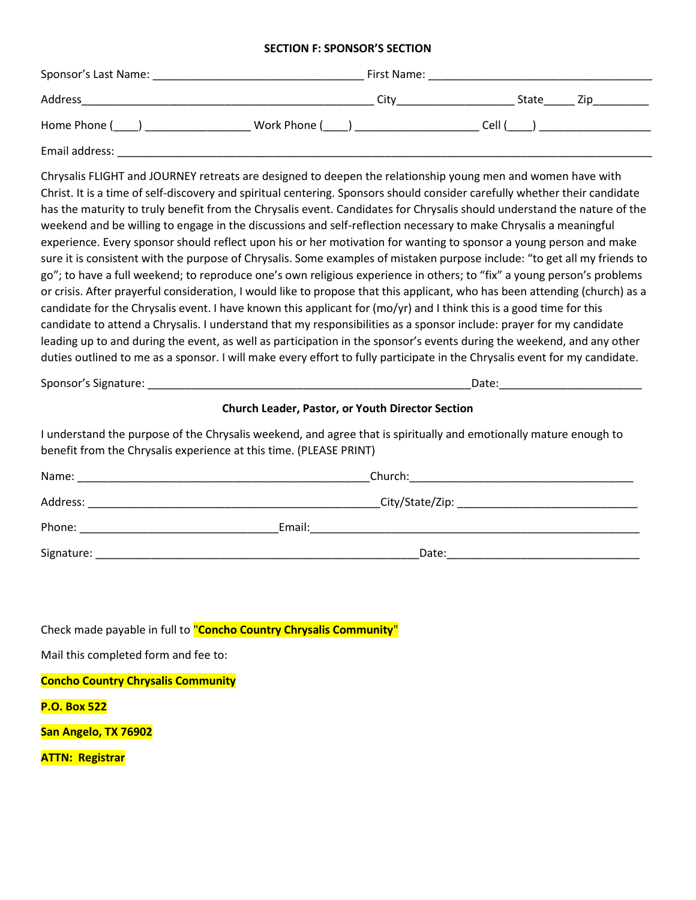#### **SECTION F: SPONSOR'S SECTION**

| Sponsor's Last Name: | First Name:  |              |
|----------------------|--------------|--------------|
| Address              | City         | State<br>Zip |
| Home Phone (         | Work Phone ( | Cell (       |
| Email address:       |              |              |

Chrysalis FLIGHT and JOURNEY retreats are designed to deepen the relationship young men and women have with Christ. It is a time of self-discovery and spiritual centering. Sponsors should consider carefully whether their candidate has the maturity to truly benefit from the Chrysalis event. Candidates for Chrysalis should understand the nature of the weekend and be willing to engage in the discussions and self-reflection necessary to make Chrysalis a meaningful experience. Every sponsor should reflect upon his or her motivation for wanting to sponsor a young person and make sure it is consistent with the purpose of Chrysalis. Some examples of mistaken purpose include: "to get all my friends to go"; to have a full weekend; to reproduce one's own religious experience in others; to "fix" a young person's problems or crisis. After prayerful consideration, I would like to propose that this applicant, who has been attending (church) as a candidate for the Chrysalis event. I have known this applicant for (mo/yr) and I think this is a good time for this candidate to attend a Chrysalis. I understand that my responsibilities as a sponsor include: prayer for my candidate leading up to and during the event, as well as participation in the sponsor's events during the weekend, and any other duties outlined to me as a sponsor. I will make every effort to fully participate in the Chrysalis event for my candidate.

Sponsor's Signature: \_\_\_\_\_\_\_\_\_\_\_\_\_\_\_\_\_\_\_\_\_\_\_\_\_\_\_\_\_\_\_\_\_\_\_\_\_\_\_\_\_\_\_\_\_\_\_\_\_\_\_\_Date:\_\_\_\_\_\_\_\_\_\_\_\_\_\_\_\_\_\_\_\_\_\_\_

#### **Church Leader, Pastor, or Youth Director Section**

I understand the purpose of the Chrysalis weekend, and agree that is spiritually and emotionally mature enough to benefit from the Chrysalis experience at this time. (PLEASE PRINT)

| Name:      |        | Church:            |  |
|------------|--------|--------------------|--|
| Address:   |        | _City/State/Zip: _ |  |
| Phone:     | Email: |                    |  |
| Signature: |        | Date:              |  |

Check made payable in full to "**Concho Country Chrysalis Community**"

Mail this completed form and fee to:

**Concho Country Chrysalis Community**

**P.O. Box 522**

**San Angelo, TX 76902**

**ATTN: Registrar**